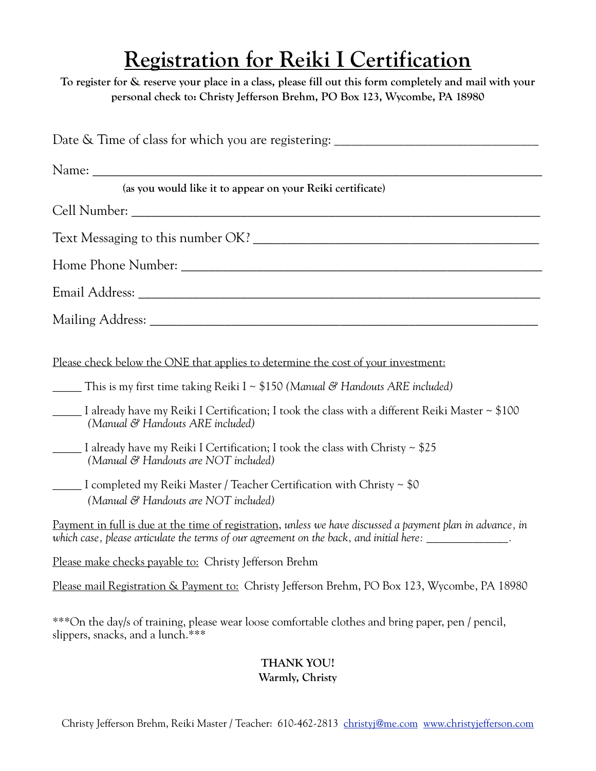## **Registration for Reiki I Certification**

**To register for & reserve your place in a class, please fill out this form completely and mail with your personal check to: Christy Jefferson Brehm, PO Box 123, Wycombe, PA 18980**

| Date & Time of class for which you are registering: _____________________________                                                                                                                                       |
|-------------------------------------------------------------------------------------------------------------------------------------------------------------------------------------------------------------------------|
|                                                                                                                                                                                                                         |
| (as you would like it to appear on your Reiki certificate)                                                                                                                                                              |
|                                                                                                                                                                                                                         |
|                                                                                                                                                                                                                         |
|                                                                                                                                                                                                                         |
|                                                                                                                                                                                                                         |
|                                                                                                                                                                                                                         |
| Please check below the ONE that applies to determine the cost of your investment:                                                                                                                                       |
| This is my first time taking Reiki I ~ $$150$ (Manual & Handouts ARE included)                                                                                                                                          |
| I already have my Reiki I Certification; I took the class with a different Reiki Master ~ \$100<br>(Manual & Handouts ARE included)                                                                                     |
| I already have my Reiki I Certification; I took the class with Christy ~ \$25<br>(Manual & Handouts are NOT included)                                                                                                   |
| 1 Completed my Reiki Master / Teacher Certification with Christy ~ \$0<br>(Manual & Handouts are NOT included)                                                                                                          |
| Payment in full is due at the time of registration, unless we have discussed a payment plan in advance, in<br>which case, please articulate the terms of our agreement on the back, and initial here: ________________. |
| Please make checks payable to: Christy Jefferson Brehm                                                                                                                                                                  |
| Please mail Registration & Payment to: Christy Jefferson Brehm, PO Box 123, Wycombe, PA 18980                                                                                                                           |
| ***On the day/s of training, please wear loose comfortable clothes and bring paper, pen / pencil,<br>slippers, snacks, and a lunch.***                                                                                  |

## **THANK YOU! Warmly, Christy**